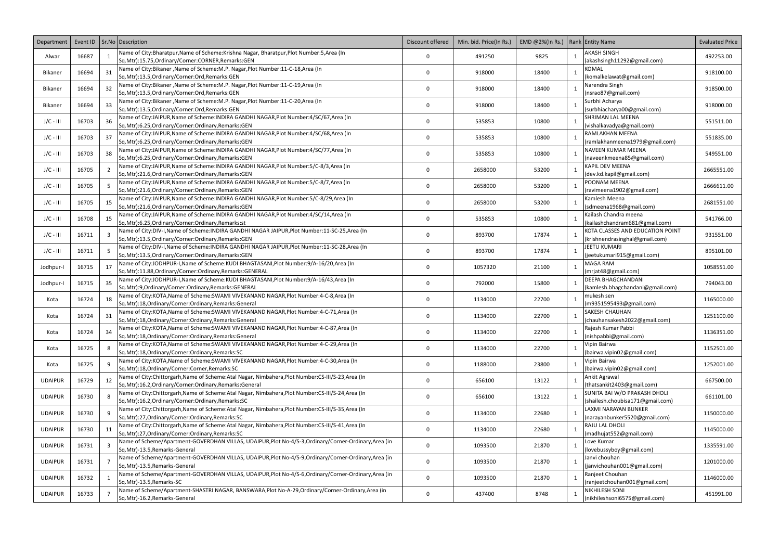| Department     |       |                       | Event ID   Sr. No   Description                                                                                                                        | Discount offered | Min. bid. Price(In Rs.) | EMD @2%(In Rs.)   Rank Entity Name |              |                                                                    | <b>Evaluated Price</b> |
|----------------|-------|-----------------------|--------------------------------------------------------------------------------------------------------------------------------------------------------|------------------|-------------------------|------------------------------------|--------------|--------------------------------------------------------------------|------------------------|
| Alwar          | 16687 |                       | Name of City:Bharatpur, Name of Scheme:Krishna Nagar, Bharatpur, Plot Number: 5, Area (In                                                              | $\Omega$         | 491250                  | 9825                               |              | AKASH SINGH                                                        | 492253.00              |
|                |       |                       | Sq.Mtr):15.75,Ordinary/Corner:CORNER,Remarks:GEN                                                                                                       |                  |                         |                                    |              | (akashsingh11292@gmail.com)                                        |                        |
| Bikaner        | 16694 | 31                    | Name of City:Bikaner, Name of Scheme:M.P. Nagar, Plot Number:11-C-18, Area (In                                                                         | 0                | 918000                  | 18400                              |              | KOMAL                                                              | 918100.00              |
|                |       |                       | Sq.Mtr):13.5, Ordinary/Corner: Ord, Remarks: GEN<br>Name of City:Bikaner, Name of Scheme:M.P. Nagar, Plot Number:11-C-19, Area (In                     |                  |                         |                                    |              | (komalkelawat@gmail.com)<br>Narendra Singh                         |                        |
| Bikaner        | 16694 | 32                    | Sq.Mtr):13.5, Ordinary/Corner: Ord, Remarks: GEN                                                                                                       | 0                | 918000                  | 18400                              |              | (nsrao87@gmail.com)                                                | 918500.00              |
|                |       |                       | Name of City:Bikaner, Name of Scheme: M.P. Nagar, Plot Number: 11-C-20, Area (In                                                                       |                  |                         |                                    |              | Surbhi Acharya                                                     |                        |
| Bikaner        | 16694 | 33                    | Sq.Mtr):13.5, Ordinary/Corner: Ord, Remarks: GEN                                                                                                       | 0                | 918000                  | 18400                              |              | (surbhiacharya00@gmail.com)                                        | 918000.00              |
| J/C - III      | 16703 | 36                    | Name of City:JAIPUR, Name of Scheme: INDIRA GANDHI NAGAR, Plot Number: 4/SC/67, Area (In                                                               | 0                | 535853                  | 10800                              |              | SHRIMAN LAL MEENA                                                  | 551511.00              |
|                |       |                       | Sq.Mtr):6.25,Ordinary/Corner:Ordinary,Remarks:GEN                                                                                                      |                  |                         |                                    |              | (vishalkavadya@gmail.com)                                          |                        |
| J/C - III      | 16703 | 37                    | Name of City:JAIPUR, Name of Scheme: INDIRA GANDHI NAGAR, Plot Number: 4/SC/68, Area (In                                                               | $\mathbf 0$      | 535853                  | 10800                              |              | RAMLAKHAN MEENA                                                    | 551835.00              |
|                |       |                       | Sq.Mtr):6.25,Ordinary/Corner:Ordinary,Remarks:GEN                                                                                                      |                  |                         |                                    |              | (ramlakhanmeena1979@gmail.com)                                     |                        |
| J/C - III      | 16703 | 38                    | Name of City:JAIPUR, Name of Scheme: INDIRA GANDHI NAGAR, Plot Number: 4/SC/77, Area (In<br>Sq.Mtr):6.25,Ordinary/Corner:Ordinary,Remarks:GEN          | $\Omega$         | 535853                  | 10800                              | $\mathbf{1}$ | NAVEEN KUMAR MEENA<br>(naveenkmeena85@gmail.com)                   | 549551.00              |
|                |       |                       | Name of City:JAIPUR, Name of Scheme: INDIRA GANDHI NAGAR, Plot Number: 5/C-8/3, Area (In                                                               |                  |                         |                                    |              | KAPIL DEV MEENA                                                    |                        |
| J/C - III      | 16705 |                       | Sq.Mtr):21.6,Ordinary/Corner:Ordinary,Remarks:GEN                                                                                                      | 0                | 2658000                 | 53200                              |              | (dev.kd.kapil@gmail.com)                                           | 2665551.00             |
|                |       |                       | Name of City:JAIPUR, Name of Scheme: INDIRA GANDHI NAGAR, Plot Number: 5/C-8/7, Area (In                                                               |                  |                         |                                    |              | POONAM MEENA                                                       |                        |
| J/C - III      | 16705 |                       | Sq.Mtr):21.6,Ordinary/Corner:Ordinary,Remarks:GEN                                                                                                      | 0                | 2658000                 | 53200                              |              | (ravimeena1902@gmail.com)                                          | 2666611.00             |
| J/C - III      | 16705 | 15                    | Name of City:JAIPUR, Name of Scheme: INDIRA GANDHI NAGAR, Plot Number: 5/C-8/29, Area (In                                                              | 0                | 2658000                 | 53200                              | 1            | Kamlesh Meena                                                      | 2681551.00             |
|                |       |                       | Sq.Mtr):21.6,Ordinary/Corner:Ordinary,Remarks:GEN                                                                                                      |                  |                         |                                    |              | (sdmeena1968@gmail.com)                                            |                        |
| J/C - III      | 16708 | 15                    | Name of City:JAIPUR, Name of Scheme: INDIRA GANDHI NAGAR, Plot Number: 4/SC/14, Area (In                                                               | 0                | 535853                  | 10800                              |              | Kailash Chandra meena                                              | 541766.00              |
|                |       |                       | Sq.Mtr):6.25, Ordinary/Corner: Ordinary, Remarks: st<br>Name of City:DIV-I, Name of Scheme: INDIRA GANDHI NAGAR JAIPUR, Plot Number:11-SC-25, Area (In |                  |                         |                                    |              | (kailashchandram681@gmail.com)<br>KOTA CLASSES AND EDUCATION POINT |                        |
| J/C - III      | 16711 |                       | Sq.Mtr):13.5, Ordinary/Corner: Ordinary, Remarks: GEN                                                                                                  | 0                | 893700                  | 17874                              |              | krishnendrasinghal@gmail.com)                                      | 931551.00              |
|                |       |                       | Name of City:DIV-I, Name of Scheme: INDIRA GANDHI NAGAR JAIPUR, Plot Number:11-SC-28, Area (In                                                         |                  |                         |                                    |              | JEETU KUMARI                                                       |                        |
| J/C - III      | 16711 |                       | Sq.Mtr):13.5, Ordinary/Corner: Ordinary, Remarks: GEN                                                                                                  | $\Omega$         | 893700                  | 17874                              |              | jeetukumari915@gmail.com)                                          | 895101.00              |
|                |       |                       | Name of City:JODHPUR-I, Name of Scheme: KUDI BHAGTASANI, Plot Number: 9/A-16/20, Area (In                                                              |                  |                         |                                    |              | MAGA RAM                                                           |                        |
| Jodhpur-I      | 16715 | 17                    | Sq.Mtr):11.88,Ordinary/Corner:Ordinary,Remarks:GENERAL                                                                                                 | $\Omega$         | 1057320                 | 21100                              |              | (mrjat48@gmail.com)                                                | 1058551.00             |
| Jodhpur-       | 16715 | 35                    | Name of City:JODHPUR-I, Name of Scheme: KUDI BHAGTASANI, Plot Number: 9/A-16/43, Area (In                                                              | $\Omega$         | 792000                  | 15800                              |              | DEEPA BHAGCHANDANI                                                 | 794043.00              |
|                |       |                       | Sq.Mtr):9,Ordinary/Corner:Ordinary,Remarks:GENERAL                                                                                                     |                  |                         |                                    |              | (kamlesh.bhagchandani@gmail.com)                                   |                        |
| Kota           | 16724 | 18                    | Name of City:KOTA, Name of Scheme: SWAMI VIVEKANAND NAGAR, Plot Number: 4-C-8, Area (In                                                                | $\Omega$         | 1134000                 | 22700                              |              | mukesh sen                                                         | 1165000.00             |
|                |       |                       | Sq.Mtr):18,Ordinary/Corner:Ordinary,Remarks:General<br>Name of City:KOTA, Name of Scheme:SWAMI VIVEKANAND NAGAR, Plot Number:4-C-71, Area (In          |                  |                         |                                    |              | (m9351595493@gmail.com)<br>SAKESH CHAUHAN                          |                        |
| Kota           | 16724 | 31                    | Sq.Mtr):18,Ordinary/Corner:Ordinary,Remarks:General                                                                                                    | 0                | 1134000                 | 22700                              |              | chauhansakesh2022@gmail.com)                                       | 1251100.00             |
|                |       |                       | Name of City:KOTA, Name of Scheme:SWAMI VIVEKANAND NAGAR, Plot Number:4-C-87, Area (In                                                                 |                  |                         |                                    |              | Rajesh Kumar Pabbi                                                 |                        |
| Kota           | 16724 | 34                    | Sq.Mtr):18,Ordinary/Corner:Ordinary,Remarks:General                                                                                                    | $\mathbf 0$      | 1134000                 | 22700                              | $\mathbf{1}$ | (nishpabbi@gmail.com)                                              | 1136351.00             |
| Kota           | 16725 | $\mathsf{\mathsf{R}}$ | Name of City:KOTA, Name of Scheme:SWAMI VIVEKANAND NAGAR, Plot Number:4-C-29, Area (In                                                                 | 0                | 1134000                 | 22700                              | $\mathbf{1}$ | Vipin Bairwa                                                       | 1152501.00             |
|                |       |                       | Sq.Mtr):18,Ordinary/Corner:Ordinary,Remarks:SC                                                                                                         |                  |                         |                                    |              | (bairwa.vipin02@gmail.com)                                         |                        |
| Kota           | 16725 |                       | Name of City:KOTA, Name of Scheme: SWAMI VIVEKANAND NAGAR, Plot Number: 4-C-30, Area (In                                                               | 0                | 1188000                 | 23800                              | $\mathbf{1}$ | Vipin Bairwa                                                       | 1252001.00             |
|                |       |                       | Sq.Mtr):18,Ordinary/Corner:Corner,Remarks:SC<br>Name of City:Chittorgarh, Name of Scheme: Atal Nagar, Nimbahera, Plot Number: CS-III/S-23, Area (In    |                  |                         |                                    |              | (bairwa.vipin02@gmail.com)<br>Ankit Agrawal                        |                        |
| <b>UDAIPUR</b> | 16729 | 12                    | Sq.Mtr):16.2,Ordinary/Corner:Ordinary,Remarks:General                                                                                                  | 0                | 656100                  | 13122                              |              | (thatsankit2403@gmail.com)                                         | 667500.00              |
|                |       |                       | Name of City:Chittorgarh,Name of Scheme:Atal Nagar, Nimbahera,Plot Number:CS-III/S-24,Area (In                                                         |                  |                         |                                    |              | SUNITA BAI W/O PRAKASH DHOLI                                       |                        |
| <b>UDAIPUR</b> | 16730 |                       | Sq.Mtr):16.2,Ordinary/Corner:Ordinary,Remarks:SC                                                                                                       | $\mathbf 0$      | 656100                  | 13122                              |              | (shailesh.choubisa171@gmail.com)                                   | 661101.00              |
| <b>UDAIPUR</b> | 16730 |                       | Name of City:Chittorgarh,Name of Scheme:Atal Nagar, Nimbahera,Plot Number:CS-III/S-35,Area (In                                                         | 0                | 1134000                 | 22680                              | 1            | LAXMI NARAYAN BUNKER                                               | 1150000.00             |
|                |       |                       | Sq.Mtr):27,Ordinary/Corner:Ordinary,Remarks:SC                                                                                                         |                  |                         |                                    |              | (narayanbunker5520@gmail.com)                                      |                        |
| <b>UDAIPUR</b> | 16730 | 11                    | Name of City:Chittorgarh,Name of Scheme:Atal Nagar, Nimbahera,Plot Number:CS-III/S-41,Area (In                                                         | 0                | 1134000                 | 22680                              |              | RAJU LAL DHOLI                                                     | 1145000.00             |
|                |       |                       | Sq.Mtr):27,Ordinary/Corner:Ordinary,Remarks:SC                                                                                                         |                  |                         |                                    |              | (madhujat552@gmail.com)                                            |                        |
| <b>UDAIPUR</b> | 16731 |                       | Name of Scheme/Apartment-GOVERDHAN VILLAS, UDAIPUR, Plot No-4/S-3, Ordinary/Corner-Ordinary, Area (in<br>Sq.Mtr)-13.5, Remarks-General                 | 0                | 1093500                 | 21870                              |              | Love Kumar<br>(lovebussyboy@gmail.com)                             | 1335591.00             |
|                |       |                       | Name of Scheme/Apartment-GOVERDHAN VILLAS, UDAIPUR, Plot No-4/S-9, Ordinary/Corner-Ordinary, Area (in                                                  |                  |                         |                                    |              | Janvi chouhan                                                      |                        |
| <b>UDAIPUR</b> | 16731 |                       | Sq.Mtr)-13.5, Remarks-General                                                                                                                          | $\mathbf 0$      | 1093500                 | 21870                              | 1            | janvichouhan001@gmail.com)                                         | 1201000.00             |
|                |       |                       | Name of Scheme/Apartment-GOVERDHAN VILLAS, UDAIPUR, Plot No-4/S-6, Ordinary/Corner-Ordinary, Area (in                                                  |                  |                         |                                    |              | Ranjeet Chouhan                                                    |                        |
| <b>UDAIPUR</b> | 16732 |                       | Sq.Mtr)-13.5, Remarks-SC                                                                                                                               | $\mathbf 0$      | 1093500                 | 21870                              |              | (ranjeetchouhan001@gmail.com)                                      | 1146000.00             |
| <b>UDAIPUR</b> | 16733 |                       | Name of Scheme/Apartment-SHASTRI NAGAR, BANSWARA, Plot No-A-29, Ordinary/Corner-Ordinary, Area (in                                                     | $\mathbf 0$      | 437400                  | 8748                               |              | NIKHILESH SONI                                                     | 451991.00              |
|                |       |                       | Sq.Mtr)-16.2, Remarks-General                                                                                                                          |                  |                         |                                    |              | (nikhileshsoni6575@gmail.com)                                      |                        |